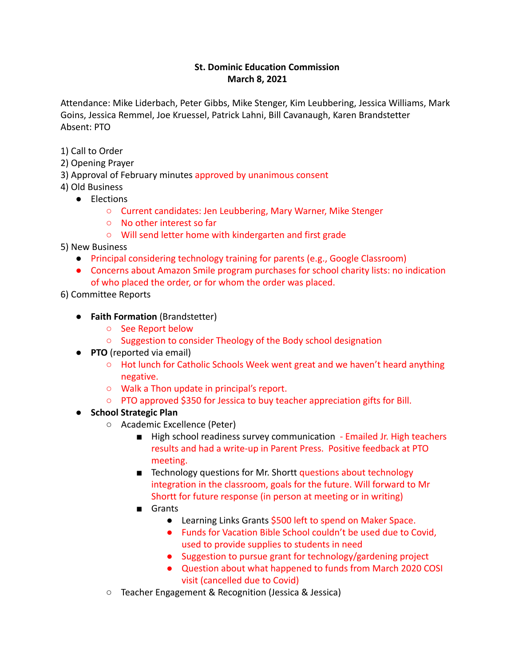### **St. Dominic Education Commission March 8, 2021**

Attendance: Mike Liderbach, Peter Gibbs, Mike Stenger, Kim Leubbering, Jessica Williams, Mark Goins, Jessica Remmel, Joe Kruessel, Patrick Lahni, Bill Cavanaugh, Karen Brandstetter Absent: PTO

- 1) Call to Order
- 2) Opening Prayer
- 3) Approval of February minutes approved by unanimous consent
- 4) Old Business
	- Elections
		- Current candidates: Jen Leubbering, Mary Warner, Mike Stenger
		- No other interest so far
		- Will send letter home with kindergarten and first grade
- 5) New Business
	- Principal considering technology training for parents (e.g., Google Classroom)
	- Concerns about Amazon Smile program purchases for school charity lists: no indication of who placed the order, or for whom the order was placed.
- 6) Committee Reports
	- **Faith Formation** (Brandstetter)
		- See Report below
		- Suggestion to consider Theology of the Body school designation
	- **PTO** (reported via email)
		- Hot lunch for Catholic Schools Week went great and we haven't heard anything negative.
		- Walk a Thon update in principal's report.
		- PTO approved \$350 for Jessica to buy teacher appreciation gifts for Bill.
	- **School Strategic Plan**
		- Academic Excellence (Peter)
			- High school readiness survey communication Emailed Jr. High teachers results and had a write-up in Parent Press. Positive feedback at PTO meeting.
			- Technology questions for Mr. Shortt questions about technology integration in the classroom, goals for the future. Will forward to Mr Shortt for future response (in person at meeting or in writing)
			- Grants
				- Learning Links Grants \$500 left to spend on Maker Space.
				- Funds for Vacation Bible School couldn't be used due to Covid, used to provide supplies to students in need
				- Suggestion to pursue grant for technology/gardening project
				- Question about what happened to funds from March 2020 COSI visit (cancelled due to Covid)
		- Teacher Engagement & Recognition (Jessica & Jessica)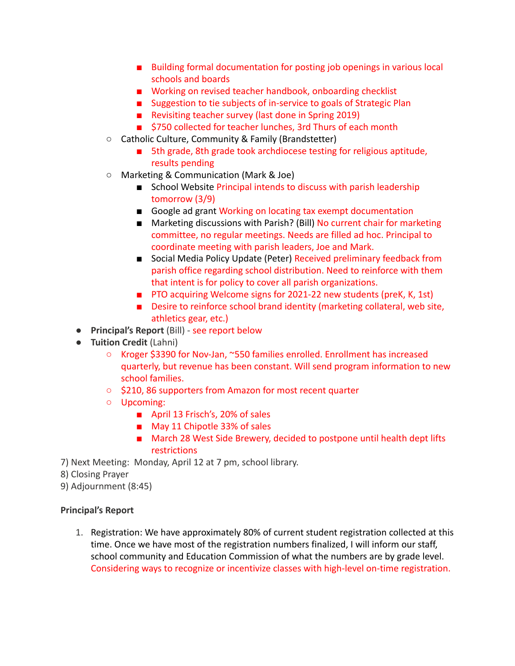- Building formal documentation for posting job openings in various local schools and boards
- Working on revised teacher handbook, onboarding checklist
- Suggestion to tie subjects of in-service to goals of Strategic Plan
- Revisiting teacher survey (last done in Spring 2019)
- \$750 collected for teacher lunches, 3rd Thurs of each month
- Catholic Culture, Community & Family (Brandstetter)
	- 5th grade, 8th grade took archdiocese testing for religious aptitude, results pending
- Marketing & Communication (Mark & Joe)
	- School Website Principal intends to discuss with parish leadership tomorrow (3/9)
	- Google ad grant Working on locating tax exempt documentation
	- Marketing discussions with Parish? (Bill) No current chair for marketing committee, no regular meetings. Needs are filled ad hoc. Principal to coordinate meeting with parish leaders, Joe and Mark.
	- Social Media Policy Update (Peter) Received preliminary feedback from parish office regarding school distribution. Need to reinforce with them that intent is for policy to cover all parish organizations.
	- PTO acquiring Welcome signs for 2021-22 new students (preK, K, 1st)
	- Desire to reinforce school brand identity (marketing collateral, web site, athletics gear, etc.)
- **Principal's Report** (Bill) see report below
- **Tuition Credit** (Lahni)
	- Kroger \$3390 for Nov-Jan, ~550 families enrolled. Enrollment has increased quarterly, but revenue has been constant. Will send program information to new school families.
	- \$210, 86 supporters from Amazon for most recent quarter
	- Upcoming:
		- April 13 Frisch's, 20% of sales
		- May 11 Chipotle 33% of sales
		- March 28 West Side Brewery, decided to postpone until health dept lifts restrictions
- 7) Next Meeting: Monday, April 12 at 7 pm, school library.
- 8) Closing Prayer
- 9) Adjournment (8:45)

### **Principal's Report**

1. Registration: We have approximately 80% of current student registration collected at this time. Once we have most of the registration numbers finalized, I will inform our staff, school community and Education Commission of what the numbers are by grade level. Considering ways to recognize or incentivize classes with high-level on-time registration.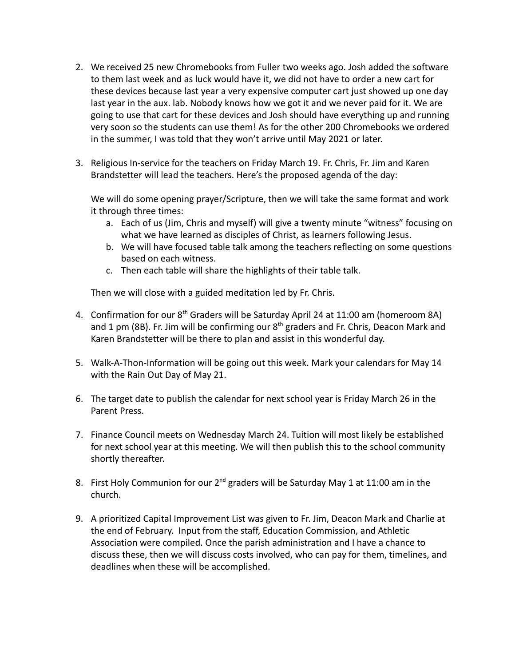- 2. We received 25 new Chromebooks from Fuller two weeks ago. Josh added the software to them last week and as luck would have it, we did not have to order a new cart for these devices because last year a very expensive computer cart just showed up one day last year in the aux. lab. Nobody knows how we got it and we never paid for it. We are going to use that cart for these devices and Josh should have everything up and running very soon so the students can use them! As for the other 200 Chromebooks we ordered in the summer, I was told that they won't arrive until May 2021 or later.
- 3. Religious In-service for the teachers on Friday March 19. Fr. Chris, Fr. Jim and Karen Brandstetter will lead the teachers. Here's the proposed agenda of the day:

We will do some opening prayer/Scripture, then we will take the same format and work it through three times:

- a. Each of us (Jim, Chris and myself) will give a twenty minute "witness" focusing on what we have learned as disciples of Christ, as learners following Jesus.
- b. We will have focused table talk among the teachers reflecting on some questions based on each witness.
- c. Then each table will share the highlights of their table talk.

Then we will close with a guided meditation led by Fr. Chris.

- 4. Confirmation for our 8<sup>th</sup> Graders will be Saturday April 24 at 11:00 am (homeroom 8A) and 1 pm (8B). Fr. Jim will be confirming our  $8<sup>th</sup>$  graders and Fr. Chris, Deacon Mark and Karen Brandstetter will be there to plan and assist in this wonderful day.
- 5. Walk-A-Thon-Information will be going out this week. Mark your calendars for May 14 with the Rain Out Day of May 21.
- 6. The target date to publish the calendar for next school year is Friday March 26 in the Parent Press.
- 7. Finance Council meets on Wednesday March 24. Tuition will most likely be established for next school year at this meeting. We will then publish this to the school community shortly thereafter.
- 8. First Holy Communion for our 2<sup>nd</sup> graders will be Saturday May 1 at 11:00 am in the church.
- 9. A prioritized Capital Improvement List was given to Fr. Jim, Deacon Mark and Charlie at the end of February. Input from the staff, Education Commission, and Athletic Association were compiled. Once the parish administration and I have a chance to discuss these, then we will discuss costs involved, who can pay for them, timelines, and deadlines when these will be accomplished.